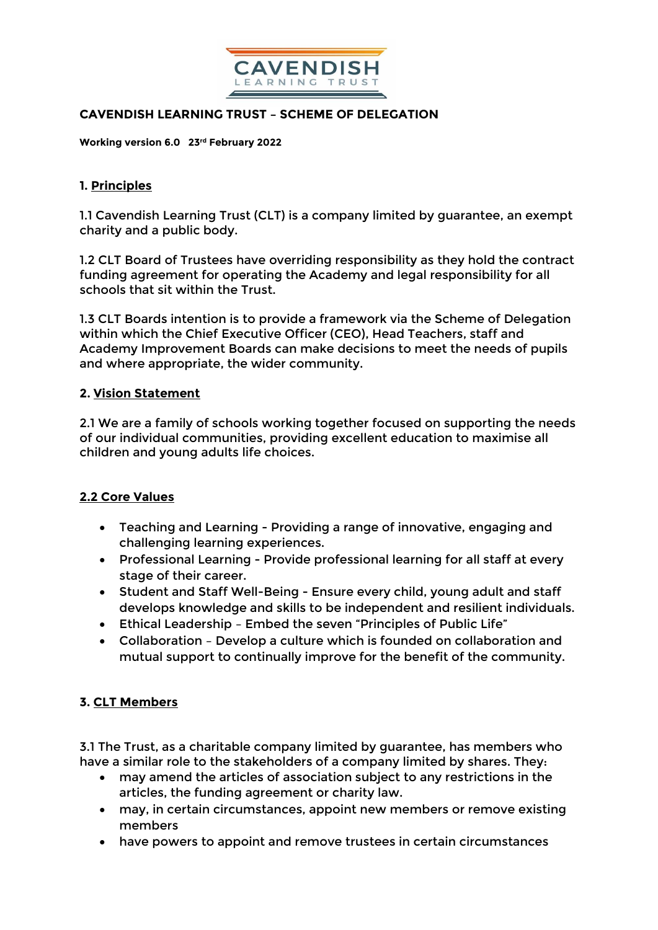

## **CAVENDISH LEARNING TRUST – SCHEME OF DELEGATION**

**Working version 6.0 23rd February 2022**

## **1. Principles**

1.1 Cavendish Learning Trust (CLT) is a company limited by guarantee, an exempt charity and a public body.

1.2 CLT Board of Trustees have overriding responsibility as they hold the contract funding agreement for operating the Academy and legal responsibility for all schools that sit within the Trust.

1.3 CLT Boards intention is to provide a framework via the Scheme of Delegation within which the Chief Executive Officer (CEO), Head Teachers, staff and Academy Improvement Boards can make decisions to meet the needs of pupils and where appropriate, the wider community.

### **2. Vision Statement**

2.1 We are a family of schools working together focused on supporting the needs of our individual communities, providing excellent education to maximise all children and young adults life choices.

## **2.2 Core Values**

- Teaching and Learning Providing a range of innovative, engaging and challenging learning experiences.
- Professional Learning Provide professional learning for all staff at every stage of their career.
- Student and Staff Well-Being Ensure every child, young adult and staff develops knowledge and skills to be independent and resilient individuals.
- Ethical Leadership Embed the seven "Principles of Public Life"
- Collaboration Develop a culture which is founded on collaboration and mutual support to continually improve for the benefit of the community.

## **3. CLT Members**

3.1 The Trust, as a charitable company limited by guarantee, has members who have a similar role to the stakeholders of a company limited by shares. They:

- may amend the articles of association subject to any restrictions in the articles, the funding agreement or charity law.
- may, in certain circumstances, appoint new members or remove existing members
- have powers to appoint and remove trustees in certain circumstances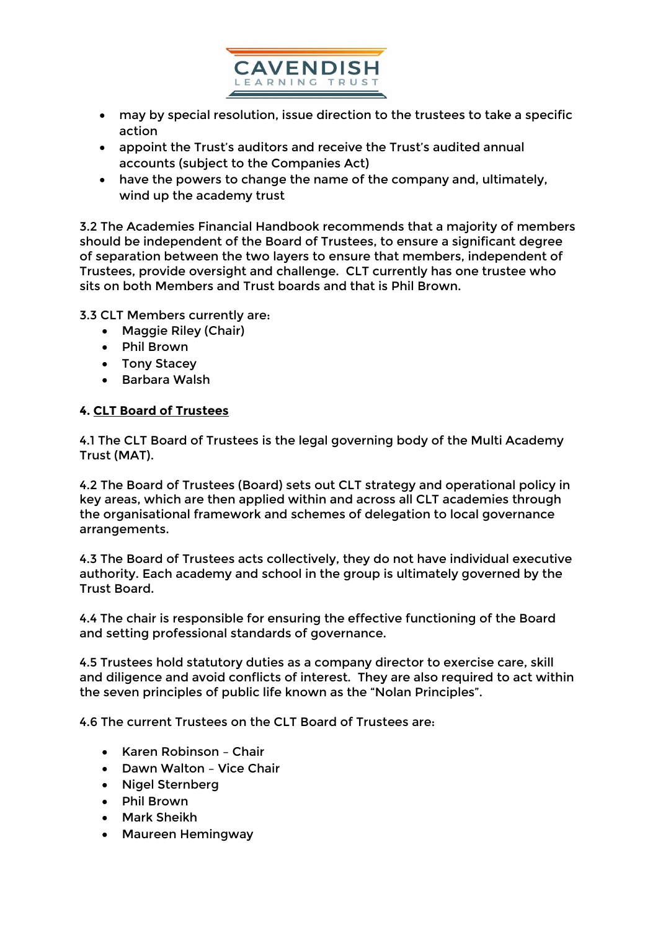

- may by special resolution, issue direction to the trustees to take a specific action
- appoint the Trust's auditors and receive the Trust's audited annual accounts (subject to the Companies Act)
- have the powers to change the name of the company and, ultimately, wind up the academy trust

3.2 The Academies Financial Handbook recommends that a majority of members should be independent of the Board of Trustees, to ensure a significant degree of separation between the two layers to ensure that members, independent of Trustees, provide oversight and challenge. CLT currently has one trustee who sits on both Members and Trust boards and that is Phil Brown.

3.3 CLT Members currently are:

- Maggie Riley (Chair)
- Phil Brown
- Tony Stacey
- Barbara Walsh

## **4. CLT Board of Trustees**

4.1 The CLT Board of Trustees is the legal governing body of the Multi Academy Trust (MAT).

4.2 The Board of Trustees (Board) sets out CLT strategy and operational policy in key areas, which are then applied within and across all CLT academies through the organisational framework and schemes of delegation to local governance arrangements.

4.3 The Board of Trustees acts collectively, they do not have individual executive authority. Each academy and school in the group is ultimately governed by the Trust Board.

4.4 The chair is responsible for ensuring the effective functioning of the Board and setting professional standards of governance.

4.5 Trustees hold statutory duties as a company director to exercise care, skill and diligence and avoid conflicts of interest. They are also required to act within the seven principles of public life known as the "Nolan Principles".

4.6 The current Trustees on the CLT Board of Trustees are:

- Karen Robinson Chair
- Dawn Walton Vice Chair
- Nigel Sternberg
- Phil Brown
- Mark Sheikh
- Maureen Hemingway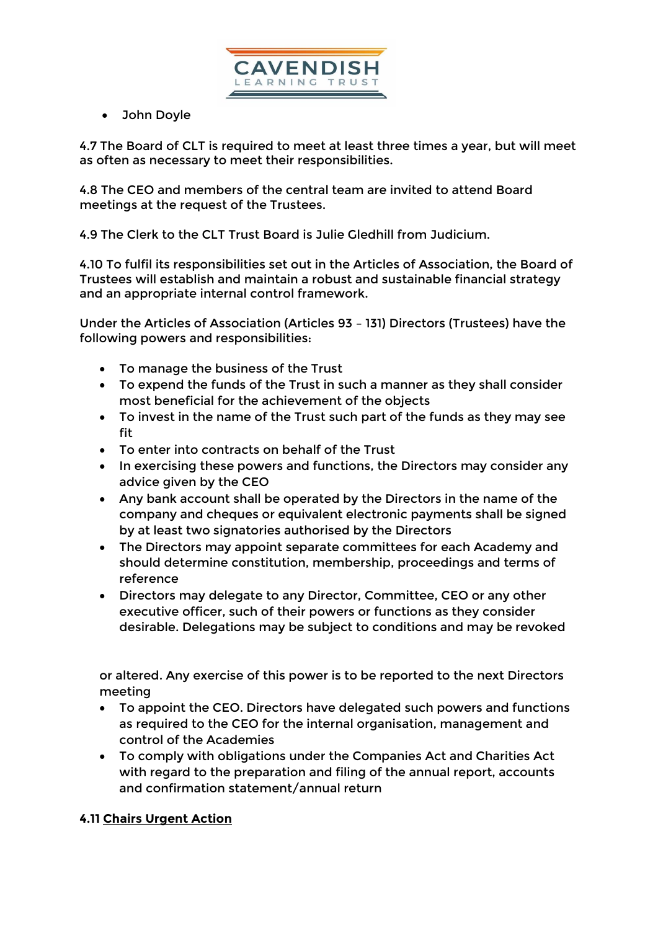

John Doyle

4.7 The Board of CLT is required to meet at least three times a year, but will meet as often as necessary to meet their responsibilities.

4.8 The CEO and members of the central team are invited to attend Board meetings at the request of the Trustees.

4.9 The Clerk to the CLT Trust Board is Julie Gledhill from Judicium.

4.10 To fulfil its responsibilities set out in the Articles of Association, the Board of Trustees will establish and maintain a robust and sustainable financial strategy and an appropriate internal control framework.

Under the Articles of Association (Articles 93 – 131) Directors (Trustees) have the following powers and responsibilities:

- To manage the business of the Trust
- To expend the funds of the Trust in such a manner as they shall consider most beneficial for the achievement of the objects
- To invest in the name of the Trust such part of the funds as they may see fit
- To enter into contracts on behalf of the Trust
- In exercising these powers and functions, the Directors may consider any advice given by the CEO
- Any bank account shall be operated by the Directors in the name of the company and cheques or equivalent electronic payments shall be signed by at least two signatories authorised by the Directors
- The Directors may appoint separate committees for each Academy and should determine constitution, membership, proceedings and terms of reference
- Directors may delegate to any Director, Committee, CEO or any other executive officer, such of their powers or functions as they consider desirable. Delegations may be subject to conditions and may be revoked

or altered. Any exercise of this power is to be reported to the next Directors meeting

- To appoint the CEO. Directors have delegated such powers and functions as required to the CEO for the internal organisation, management and control of the Academies
- To comply with obligations under the Companies Act and Charities Act with regard to the preparation and filing of the annual report, accounts and confirmation statement/annual return

# **4.11 Chairs Urgent Action**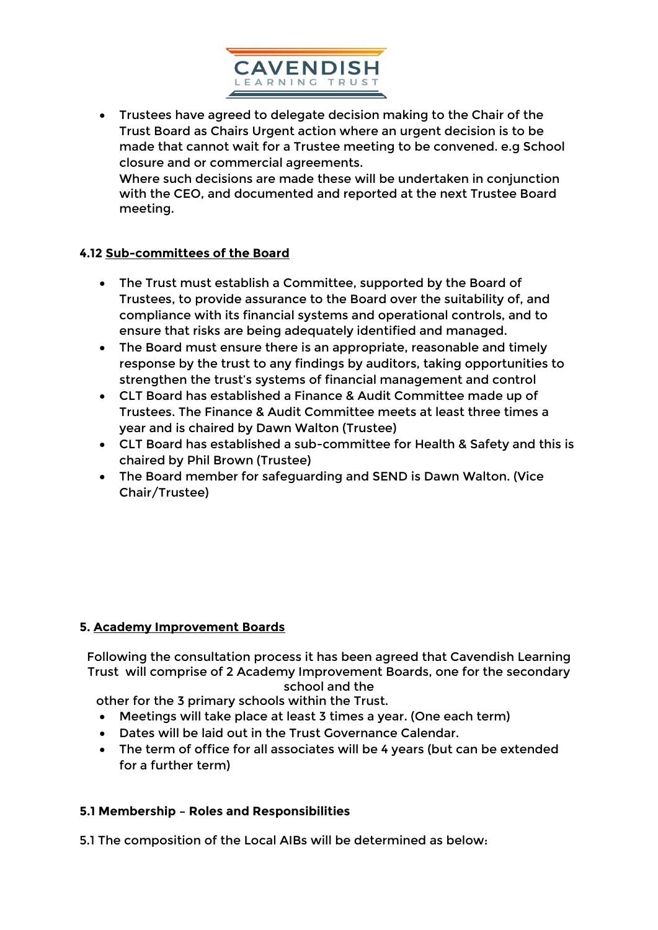

 Trustees have agreed to delegate decision making to the Chair of the Trust Board as Chairs Urgent action where an urgent decision is to be made that cannot wait for a Trustee meeting to be convened. e.g School closure and or commercial agreements. Where such decisions are made these will be undertaken in conjunction with the CEO, and documented and reported at the next Trustee Board meeting.

## **4.12 Sub-committees of the Board**

- The Trust must establish a Committee, supported by the Board of Trustees, to provide assurance to the Board over the suitability of, and compliance with its financial systems and operational controls, and to ensure that risks are being adequately identified and managed.
- The Board must ensure there is an appropriate, reasonable and timely response by the trust to any findings by auditors, taking opportunities to strengthen the trust's systems of financial management and control
- CLT Board has established a Finance & Audit Committee made up of Trustees. The Finance & Audit Committee meets at least three times a year and is chaired by Dawn Walton (Trustee)
- CLT Board has established a sub-committee for Health & Safety and this is chaired by Phil Brown (Trustee)
- The Board member for safeguarding and SEND is Dawn Walton. (Vice Chair/Trustee)

### **5. Academy Improvement Boards**

Following the consultation process it has been agreed that Cavendish Learning Trust will comprise of 2 Academy Improvement Boards, one for the secondary school and the

other for the 3 primary schools within the Trust.

- Meetings will take place at least 3 times a year. (One each term)
- Dates will be laid out in the Trust Governance Calendar.
- The term of office for all associates will be 4 years (but can be extended for a further term)

## **5.1 Membership – Roles and Responsibilities**

5.1 The composition of the Local AIBs will be determined as below: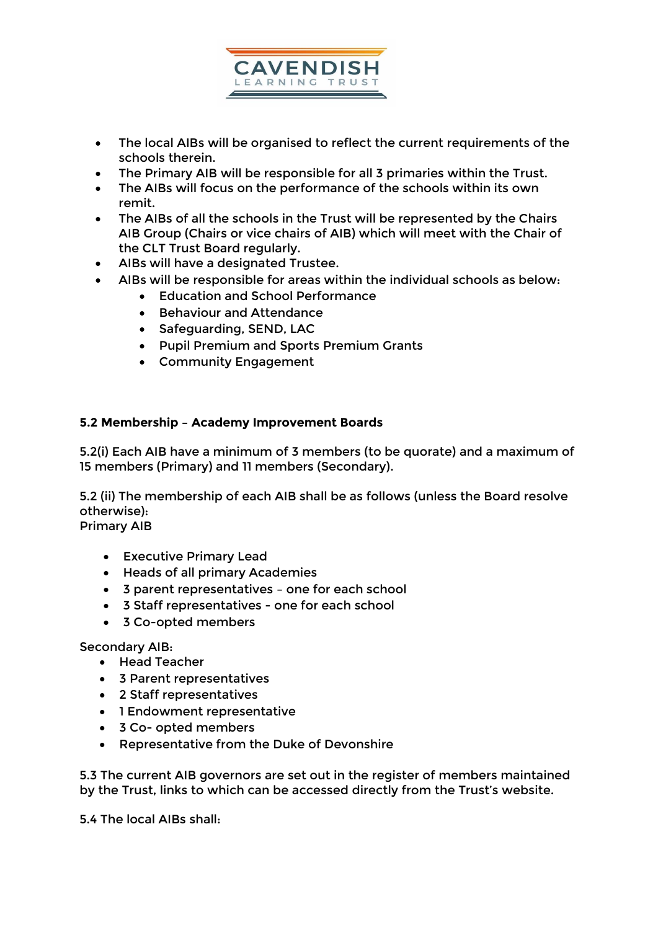

- The local AIBs will be organised to reflect the current requirements of the schools therein.
- The Primary AIB will be responsible for all 3 primaries within the Trust.
- The AIBs will focus on the performance of the schools within its own remit.
- The AIBs of all the schools in the Trust will be represented by the Chairs AIB Group (Chairs or vice chairs of AIB) which will meet with the Chair of the CLT Trust Board regularly.
- AIBs will have a designated Trustee.
- AIBs will be responsible for areas within the individual schools as below:
	- Education and School Performance
	- **•** Behaviour and Attendance
	- Safeguarding, SEND, LAC
	- Pupil Premium and Sports Premium Grants
	- Community Engagement

## **5.2 Membership – Academy Improvement Boards**

5.2(i) Each AIB have a minimum of 3 members (to be quorate) and a maximum of 15 members (Primary) and 11 members (Secondary).

5.2 (ii) The membership of each AIB shall be as follows (unless the Board resolve otherwise):

Primary AIB

- Executive Primary Lead
- Heads of all primary Academies
- 3 parent representatives one for each school
- 3 Staff representatives one for each school
- 3 Co-opted members

Secondary AIB:

- Head Teacher
- 3 Parent representatives
- 2 Staff representatives
- 1 Endowment representative
- 3 Co- opted members
- Representative from the Duke of Devonshire

5.3 The current AIB governors are set out in the register of members maintained by the Trust, links to which can be accessed directly from the Trust's website.

5.4 The local AIBs shall: